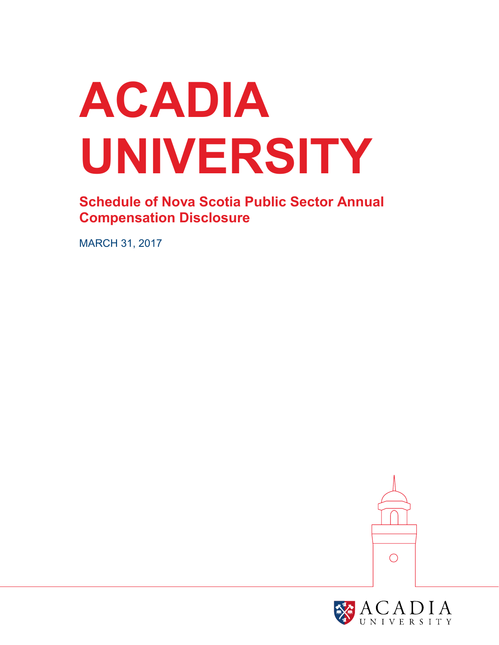# **ACADIA UNIVERSITY**

**Schedule of Nova Scotia Public Sector Annual Compensation Disclosure**

MARCH 31, 2017



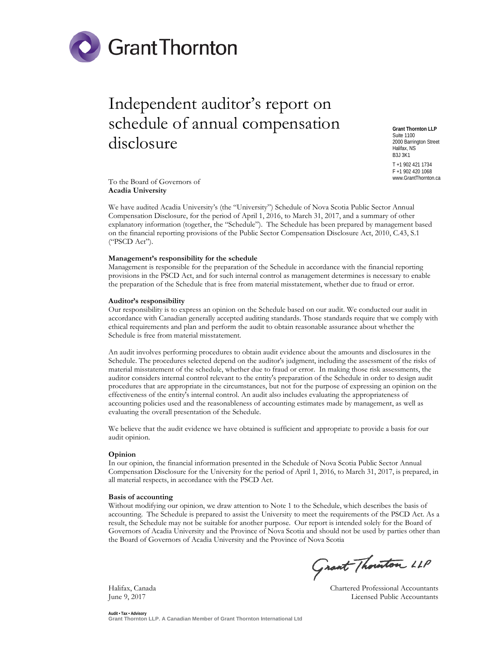

# Independent auditor's report on schedule of annual compensation disclosure

**Grant Thornton LLP** Suite 1100 2000 Barrington Street Halifax, NS B3J 3K1 T +1 902 421 1734 F +1 902 420 1068 www.GrantThornton.ca

To the Board of Governors of **Acadia University**

We have audited Acadia University's (the "University") Schedule of Nova Scotia Public Sector Annual Compensation Disclosure, for the period of April 1, 2016, to March 31, 2017, and a summary of other explanatory information (together, the "Schedule"). The Schedule has been prepared by management based on the financial reporting provisions of the Public Sector Compensation Disclosure Act, 2010, C.43, S.1 ("PSCD Act").

#### **Management's responsibility for the schedule**

Management is responsible for the preparation of the Schedule in accordance with the financial reporting provisions in the PSCD Act, and for such internal control as management determines is necessary to enable the preparation of the Schedule that is free from material misstatement, whether due to fraud or error.

#### **Auditor's responsibility**

Our responsibility is to express an opinion on the Schedule based on our audit. We conducted our audit in accordance with Canadian generally accepted auditing standards. Those standards require that we comply with ethical requirements and plan and perform the audit to obtain reasonable assurance about whether the Schedule is free from material misstatement.

An audit involves performing procedures to obtain audit evidence about the amounts and disclosures in the Schedule. The procedures selected depend on the auditor's judgment, including the assessment of the risks of material misstatement of the schedule, whether due to fraud or error. In making those risk assessments, the auditor considers internal control relevant to the entity's preparation of the Schedule in order to design audit procedures that are appropriate in the circumstances, but not for the purpose of expressing an opinion on the effectiveness of the entity's internal control. An audit also includes evaluating the appropriateness of accounting policies used and the reasonableness of accounting estimates made by management, as well as evaluating the overall presentation of the Schedule.

We believe that the audit evidence we have obtained is sufficient and appropriate to provide a basis for our audit opinion.

#### **Opinion**

In our opinion, the financial information presented in the Schedule of Nova Scotia Public Sector Annual Compensation Disclosure for the University for the period of April 1, 2016, to March 31, 2017, is prepared, in all material respects, in accordance with the PSCD Act.

#### **Basis of accounting**

Without modifying our opinion, we draw attention to Note 1 to the Schedule, which describes the basis of accounting. The Schedule is prepared to assist the University to meet the requirements of the PSCD Act. As a result, the Schedule may not be suitable for another purpose. Our report is intended solely for the Board of Governors of Acadia University and the Province of Nova Scotia and should not be used by parties other than the Board of Governors of Acadia University and the Province of Nova Scotia

Grant Thouton LLP

Halifax, Canada Chartered Professional Accountants June 9, 2017 Licensed Public Accountants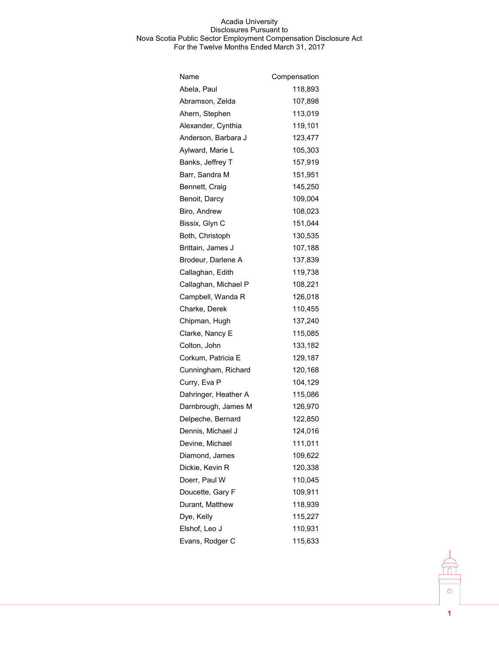| Name                 | Compensation |
|----------------------|--------------|
| Abela, Paul          | 118,893      |
| Abramson, Zelda      | 107,898      |
| Ahern, Stephen       | 113,019      |
| Alexander, Cynthia   | 119,101      |
| Anderson, Barbara J  | 123,477      |
| Aylward, Marie L     | 105,303      |
| Banks, Jeffrey T     | 157,919      |
| Barr, Sandra M       | 151,951      |
| Bennett, Craig       | 145,250      |
| Benoit, Darcy        | 109,004      |
| Biro, Andrew         | 108,023      |
| Bissix, Glyn C       | 151,044      |
| Both, Christoph      | 130,535      |
| Brittain, James J    | 107,188      |
| Brodeur, Darlene A   | 137,839      |
| Callaghan, Edith     | 119,738      |
| Callaghan, Michael P | 108,221      |
| Campbell, Wanda R    | 126,018      |
| Charke, Derek        | 110,455      |
| Chipman, Hugh        | 137,240      |
| Clarke, Nancy E      | 115,085      |
| Colton, John         | 133,182      |
| Corkum, Patricia E   | 129,187      |
| Cunningham, Richard  | 120,168      |
| Curry, Eva P         | 104,129      |
| Dahringer, Heather A | 115,086      |
| Darnbrough, James M  | 126,970      |
| Delpeche, Bernard    | 122,850      |
| Dennis, Michael J    | 124,016      |
| Devine, Michael      | 111,011      |
| Diamond. James       | 109,622      |
| Dickie, Kevin R      | 120,338      |
| Doerr, Paul W        | 110,045      |
| Doucette, Gary F     | 109,911      |
| Durant, Matthew      | 118,939      |
| Dye, Kelly           | 115,227      |
| Elshof, Leo J        | 110,931      |
| Evans, Rodger C      | 115,633      |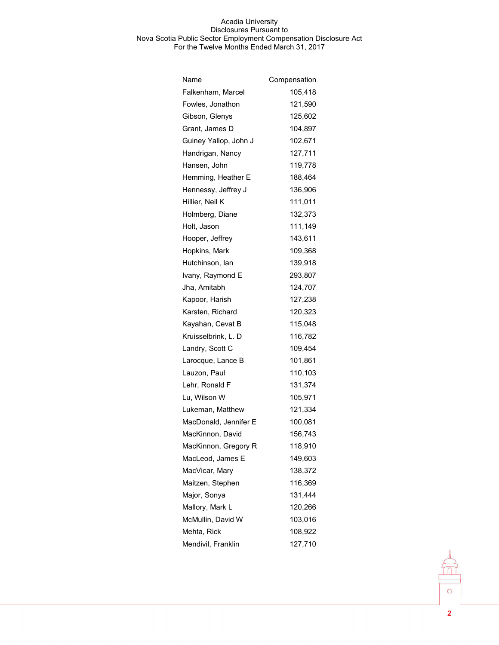| Name                  | Compensation |
|-----------------------|--------------|
| Falkenham, Marcel     | 105,418      |
| Fowles, Jonathon      | 121,590      |
| Gibson, Glenys        | 125,602      |
| Grant, James D        | 104,897      |
| Guiney Yallop, John J | 102,671      |
| Handrigan, Nancy      | 127,711      |
| Hansen, John          | 119,778      |
| Hemming, Heather E    | 188,464      |
| Hennessy, Jeffrey J   | 136,906      |
| Hillier, Neil K       | 111,011      |
| Holmberg, Diane       | 132,373      |
| Holt, Jason           | 111,149      |
| Hooper, Jeffrey       | 143,611      |
| Hopkins, Mark         | 109,368      |
| Hutchinson, lan       | 139,918      |
| Ivany, Raymond E      | 293,807      |
| Jha, Amitabh          | 124,707      |
| Kapoor, Harish        | 127,238      |
| Karsten, Richard      | 120,323      |
| Kayahan, Cevat B      | 115,048      |
| Kruisselbrink, L. D   | 116,782      |
| Landry, Scott C       | 109,454      |
| Larocque, Lance B     | 101,861      |
| Lauzon, Paul          | 110,103      |
| Lehr, Ronald F        | 131,374      |
| Lu, Wilson W          | 105,971      |
| Lukeman, Matthew      | 121,334      |
| MacDonald, Jennifer E | 100,081      |
| MacKinnon, David      | 156,743      |
| MacKinnon, Gregory R  | 118,910      |
| MacLeod, James E      | 149,603      |
| MacVicar, Mary        | 138,372      |
| Maitzen, Stephen      | 116,369      |
| Major, Sonya          | 131,444      |
| Mallory, Mark L       | 120,266      |
| McMullin, David W     | 103,016      |
| Mehta, Rick           | 108,922      |
| Mendivil, Franklin    | 127,710      |

 $\bullet$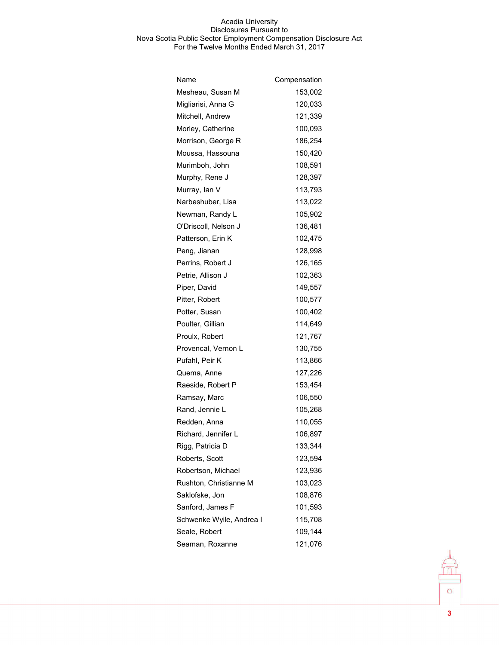| Name                     | Compensation |
|--------------------------|--------------|
| Mesheau, Susan M         | 153,002      |
| Migliarisi, Anna G       | 120,033      |
| Mitchell, Andrew         | 121,339      |
| Morley, Catherine        | 100,093      |
| Morrison, George R       | 186,254      |
| Moussa, Hassouna         | 150,420      |
| Murimboh, John           | 108,591      |
| Murphy, Rene J           | 128,397      |
| Murray, Ian V            | 113,793      |
| Narbeshuber, Lisa        | 113,022      |
| Newman, Randy L          | 105,902      |
| O'Driscoll, Nelson J     | 136,481      |
| Patterson, Erin K        | 102,475      |
| Peng, Jianan             | 128,998      |
| Perrins, Robert J        | 126,165      |
| Petrie, Allison J        | 102,363      |
| Piper, David             | 149,557      |
| Pitter, Robert           | 100,577      |
| Potter, Susan            | 100,402      |
| Poulter, Gillian         | 114,649      |
| Proulx, Robert           | 121,767      |
| Provencal, Vernon L      | 130,755      |
| Pufahl, Peir K           | 113,866      |
| Quema, Anne              | 127,226      |
| Raeside, Robert P        | 153,454      |
| Ramsay, Marc             | 106,550      |
| Rand, Jennie L           | 105,268      |
| Redden, Anna             | 110,055      |
| Richard, Jennifer L      | 106,897      |
| Rigg, Patricia D         | 133,344      |
| Roberts, Scott           | 123,594      |
| Robertson, Michael       | 123,936      |
| Rushton, Christianne M   | 103,023      |
| Saklofske, Jon           | 108,876      |
| Sanford, James F         | 101,593      |
| Schwenke Wyile, Andrea I | 115,708      |
| Seale, Robert            | 109,144      |
| Seaman, Roxanne          | 121,076      |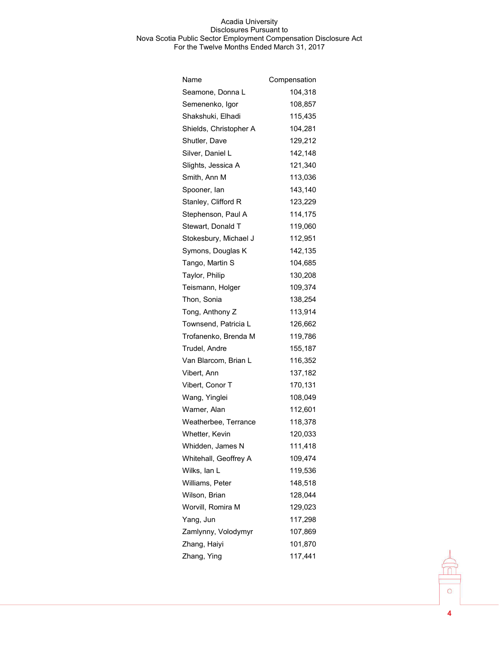| Name                   | Compensation |
|------------------------|--------------|
| Seamone, Donna L       | 104,318      |
| Semenenko, Igor        | 108,857      |
| Shakshuki, Elhadi      | 115,435      |
| Shields, Christopher A | 104,281      |
| Shutler, Dave          | 129,212      |
| Silver, Daniel L       | 142,148      |
| Slights, Jessica A     | 121,340      |
| Smith, Ann M           | 113,036      |
| Spooner, lan           | 143,140      |
| Stanley, Clifford R    | 123,229      |
| Stephenson, Paul A     | 114,175      |
| Stewart, Donald T      | 119,060      |
| Stokesbury, Michael J  | 112,951      |
| Symons, Douglas K      | 142,135      |
| Tango, Martin S        | 104,685      |
| Taylor, Philip         | 130,208      |
| Teismann, Holger       | 109,374      |
| Thon, Sonia            | 138,254      |
| Tong, Anthony Z        | 113,914      |
| Townsend, Patricia L   | 126,662      |
| Trofanenko, Brenda M   | 119,786      |
| Trudel, Andre          | 155,187      |
| Van Blarcom, Brian L   | 116,352      |
| Vibert, Ann            | 137,182      |
| Vibert, Conor T        | 170,131      |
| Wang, Yinglei          | 108,049      |
| Warner, Alan           | 112,601      |
| Weatherbee, Terrance   | 118,378      |
| Whetter, Kevin         | 120,033      |
| Whidden, James N       | 111,418      |
| Whitehall, Geoffrey A  | 109,474      |
| Wilks, Ian L           | 119,536      |
| Williams, Peter        | 148,518      |
| Wilson, Brian          | 128,044      |
| Worvill, Romira M      | 129,023      |
| Yang, Jun              | 117,298      |
| Zamlynny, Volodymyr    | 107,869      |
| Zhang, Haiyi           | 101,870      |
| Zhang, Ying            | 117,441      |

 $\circ$